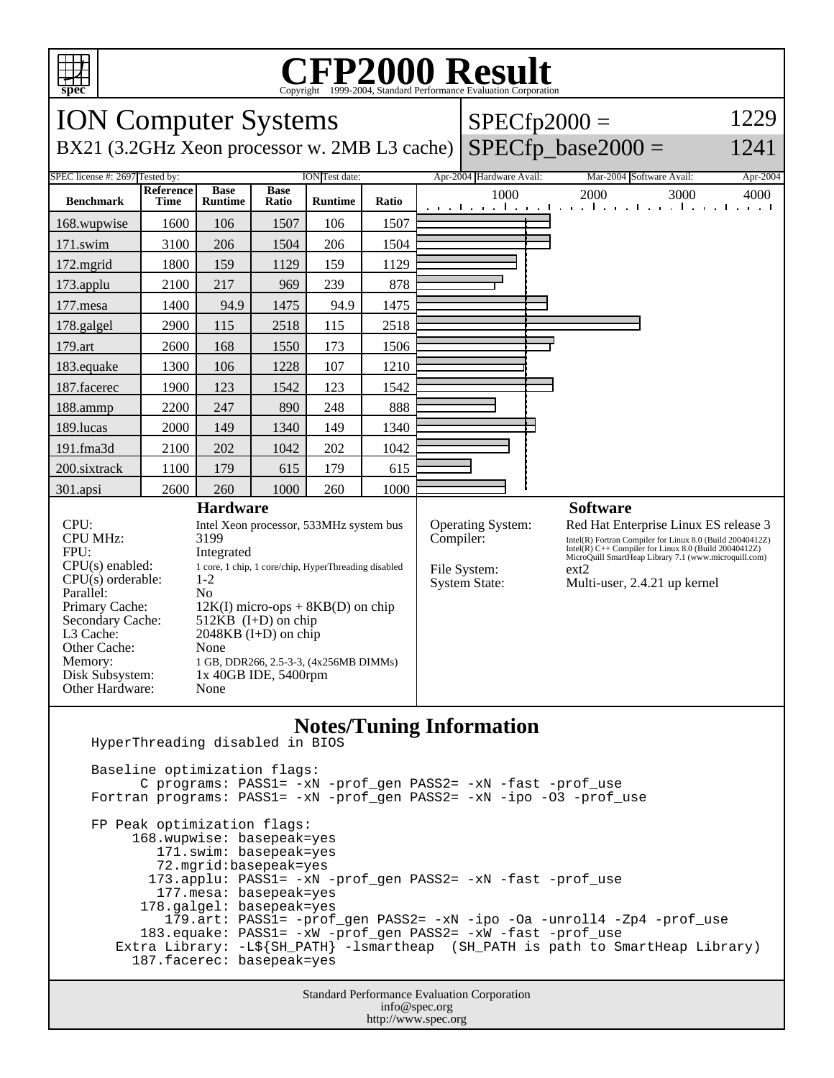

## Copyright ©1999-2004, Standard Performance Evaluation Corporation

| <b>ION Computer Systems</b>                                                                  |                                                                                                                                     |                                                      |       |         | $SPECfp2000 =$ |                                       |                          | 1229 |                                                                                                                                                                               |          |  |
|----------------------------------------------------------------------------------------------|-------------------------------------------------------------------------------------------------------------------------------------|------------------------------------------------------|-------|---------|----------------|---------------------------------------|--------------------------|------|-------------------------------------------------------------------------------------------------------------------------------------------------------------------------------|----------|--|
| $SPECfp\_base2000 =$<br>BX21 (3.2GHz Xeon processor w. 2MB L3 cache)<br>1241                 |                                                                                                                                     |                                                      |       |         |                |                                       |                          |      |                                                                                                                                                                               |          |  |
| SPEC license #: 2697 Tested by:<br>ION Test date:<br>Reference<br><b>Base</b><br><b>Base</b> |                                                                                                                                     |                                                      |       |         |                |                                       | Apr-2004 Hardware Avail: |      | Mar-2004 Software Avail:                                                                                                                                                      | Apr-2004 |  |
| <b>Benchmark</b>                                                                             | <b>Time</b>                                                                                                                         | <b>Runtime</b>                                       | Ratio | Runtime | Ratio          |                                       | 1000                     |      | 2000<br>3000<br>التعبيلين ويالتون والتواط والتويان والتواط والمتواطن                                                                                                          | 4000     |  |
| 168.wupwise                                                                                  | 1600                                                                                                                                | 106                                                  | 1507  | 106     | 1507           |                                       |                          |      |                                                                                                                                                                               |          |  |
| 171.swim                                                                                     | 3100                                                                                                                                | 206                                                  | 1504  | 206     | 1504           |                                       |                          |      |                                                                                                                                                                               |          |  |
| 172.mgrid                                                                                    | 1800                                                                                                                                | 159                                                  | 1129  | 159     | 1129           |                                       |                          |      |                                                                                                                                                                               |          |  |
| 173.applu                                                                                    | 2100                                                                                                                                | 217                                                  | 969   | 239     | 878            |                                       |                          |      |                                                                                                                                                                               |          |  |
| 177.mesa                                                                                     | 1400                                                                                                                                | 94.9                                                 | 1475  | 94.9    | 1475           |                                       |                          |      |                                                                                                                                                                               |          |  |
| 178.galgel                                                                                   | 2900                                                                                                                                | 115                                                  | 2518  | 115     | 2518           |                                       |                          |      |                                                                                                                                                                               |          |  |
| 179.art                                                                                      | 2600                                                                                                                                | 168                                                  | 1550  | 173     | 1506           |                                       |                          |      |                                                                                                                                                                               |          |  |
| 183.equake                                                                                   | 1300                                                                                                                                | 106                                                  | 1228  | 107     | 1210           |                                       |                          |      |                                                                                                                                                                               |          |  |
| 187.facerec                                                                                  | 1900                                                                                                                                | 123                                                  | 1542  | 123     | 1542           |                                       |                          |      |                                                                                                                                                                               |          |  |
| 188.ammp                                                                                     | 2200                                                                                                                                | 247                                                  | 890   | 248     | 888            |                                       |                          |      |                                                                                                                                                                               |          |  |
| 189.lucas                                                                                    | 2000                                                                                                                                | 149                                                  | 1340  | 149     | 1340           |                                       |                          |      |                                                                                                                                                                               |          |  |
| 191.fma3d                                                                                    | 2100                                                                                                                                | 202                                                  | 1042  | 202     | 1042           |                                       |                          |      |                                                                                                                                                                               |          |  |
| 200.sixtrack                                                                                 | 1100                                                                                                                                | 179                                                  | 615   | 179     | 615            |                                       |                          |      |                                                                                                                                                                               |          |  |
| 301.apsi                                                                                     | 2600                                                                                                                                | 260                                                  | 1000  | 260     | 1000           |                                       |                          |      |                                                                                                                                                                               |          |  |
| <b>Hardware</b>                                                                              |                                                                                                                                     |                                                      |       |         |                |                                       |                          |      | <b>Software</b>                                                                                                                                                               |          |  |
| CPU:<br><b>CPU MHz:</b>                                                                      |                                                                                                                                     | Intel Xeon processor, 533MHz system bus<br>3199      |       |         |                | <b>Operating System:</b><br>Compiler: |                          |      | Red Hat Enterprise Linux ES release 3                                                                                                                                         |          |  |
| FPU:                                                                                         |                                                                                                                                     | Integrated                                           |       |         |                |                                       |                          |      | Intel(R) Fortran Compiler for Linux 8.0 (Build 20040412Z)<br>Intel(R) $C++$ Compiler for Linux 8.0 (Build 20040412Z)<br>MicroQuill SmartHeap Library 7.1 (www.microquill.com) |          |  |
| $CPU(s)$ enabled:                                                                            |                                                                                                                                     | 1 core, 1 chip, 1 core/chip, HyperThreading disabled |       |         |                | File System:                          |                          |      | ext2                                                                                                                                                                          |          |  |
| $CPU(s)$ orderable:<br>Parallel:                                                             |                                                                                                                                     | $1-2$<br>N <sub>0</sub>                              |       |         |                | <b>System State:</b>                  |                          |      | Multi-user, 2.4.21 up kernel                                                                                                                                                  |          |  |
| Primary Cache:<br>$12K(I)$ micro-ops + 8KB(D) on chip                                        |                                                                                                                                     |                                                      |       |         |                |                                       |                          |      |                                                                                                                                                                               |          |  |
| Secondary Cache:<br>512 $KB$ (I+D) on chip                                                   |                                                                                                                                     |                                                      |       |         |                |                                       |                          |      |                                                                                                                                                                               |          |  |
| $2048KB$ (I+D) on chip<br>L <sub>3</sub> Cache:<br>Other Cache:                              |                                                                                                                                     |                                                      |       |         |                |                                       |                          |      |                                                                                                                                                                               |          |  |
| None<br>Memory:<br>1 GB, DDR266, 2.5-3-3, (4x256MB DIMMs)                                    |                                                                                                                                     |                                                      |       |         |                |                                       |                          |      |                                                                                                                                                                               |          |  |
| Disk Subsystem:                                                                              | 1x 40GB IDE, 5400rpm                                                                                                                |                                                      |       |         |                |                                       |                          |      |                                                                                                                                                                               |          |  |
| Other Hardware:                                                                              |                                                                                                                                     | None                                                 |       |         |                |                                       |                          |      |                                                                                                                                                                               |          |  |
| <b>Notes/Tuning Information</b>                                                              |                                                                                                                                     |                                                      |       |         |                |                                       |                          |      |                                                                                                                                                                               |          |  |
| HyperThreading disabled in BIOS                                                              |                                                                                                                                     |                                                      |       |         |                |                                       |                          |      |                                                                                                                                                                               |          |  |
| Baseline optimization flags:                                                                 |                                                                                                                                     |                                                      |       |         |                |                                       |                          |      |                                                                                                                                                                               |          |  |
|                                                                                              | C programs: PASS1= -xN -prof_gen PASS2= -xN -fast -prof_use<br>Fortran programs: PASS1= -xN -prof_gen PASS2= -xN -ipo -03 -prof_use |                                                      |       |         |                |                                       |                          |      |                                                                                                                                                                               |          |  |
|                                                                                              |                                                                                                                                     |                                                      |       |         |                |                                       |                          |      |                                                                                                                                                                               |          |  |

 FP Peak optimization flags: 168.wupwise: basepeak=yes 171.swim: basepeak=yes 72.mgrid:basepeak=yes 173.applu: PASS1= -xN -prof\_gen PASS2= -xN -fast -prof\_use 177.mesa: basepeak=yes 178.galgel: basepeak=yes 179.art: PASS1= -prof\_gen PASS2= -xN -ipo -Oa -unroll4 -Zp4 -prof\_use 183.equake: PASS1= -xW -prof\_gen PASS2= -xW -fast -prof\_use Extra Library: -L\${SH\_PATH} -lsmartheap (SH\_PATH is path to SmartHeap Library) 187.facerec: basepeak=yes

> Standard Performance Evaluation Corporation info@spec.org http://www.spec.org